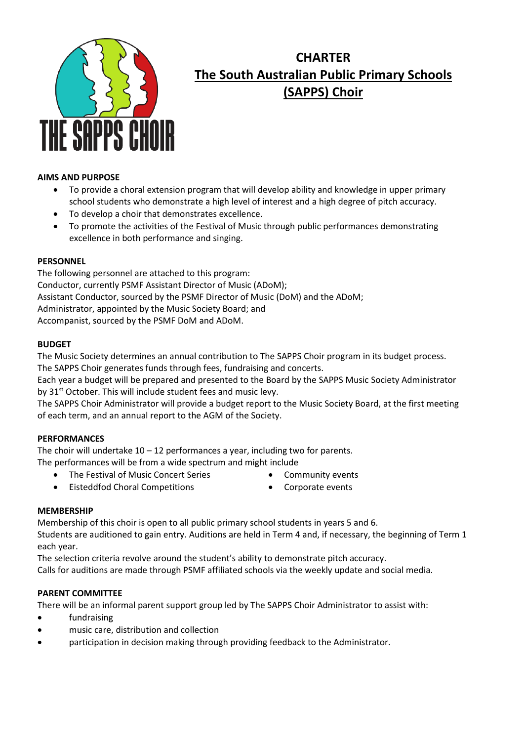

# **CHARTER The South Australian Public Primary Schools (SAPPS) Choir**

# **AIMS AND PURPOSE**

- To provide a choral extension program that will develop ability and knowledge in upper primary school students who demonstrate a high level of interest and a high degree of pitch accuracy.
- To develop a choir that demonstrates excellence.
- To promote the activities of the Festival of Music through public performances demonstrating excellence in both performance and singing.

## **PERSONNEL**

The following personnel are attached to this program: Conductor, currently PSMF Assistant Director of Music (ADoM); Assistant Conductor, sourced by the PSMF Director of Music (DoM) and the ADoM; Administrator, appointed by the Music Society Board; and Accompanist, sourced by the PSMF DoM and ADoM.

## **BUDGET**

The Music Society determines an annual contribution to The SAPPS Choir program in its budget process. The SAPPS Choir generates funds through fees, fundraising and concerts.

Each year a budget will be prepared and presented to the Board by the SAPPS Music Society Administrator by 31<sup>st</sup> October. This will include student fees and music levy.

The SAPPS Choir Administrator will provide a budget report to the Music Society Board, at the first meeting of each term, and an annual report to the AGM of the Society.

## **PERFORMANCES**

The choir will undertake  $10 - 12$  performances a year, including two for parents.

- The performances will be from a wide spectrum and might include
	- The Festival of Music Concert Series
- Community events
- Eisteddfod Choral Competitions
- Corporate events

## **MEMBERSHIP**

Membership of this choir is open to all public primary school students in years 5 and 6.

Students are auditioned to gain entry. Auditions are held in Term 4 and, if necessary, the beginning of Term 1 each year.

The selection criteria revolve around the student's ability to demonstrate pitch accuracy. Calls for auditions are made through PSMF affiliated schools via the weekly update and social media.

## **PARENT COMMITTEE**

There will be an informal parent support group led by The SAPPS Choir Administrator to assist with:

- fundraising
- music care, distribution and collection
- participation in decision making through providing feedback to the Administrator.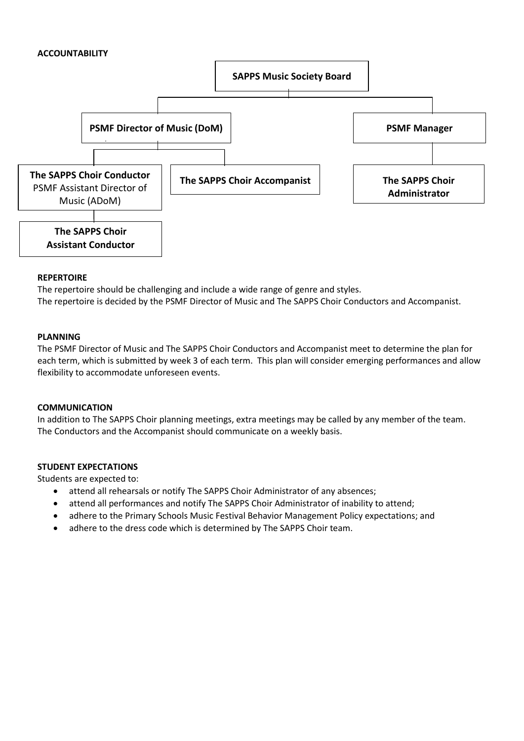## **ACCOUNTABILITY**



## **REPERTOIRE**

The repertoire should be challenging and include a wide range of genre and styles. The repertoire is decided by the PSMF Director of Music and The SAPPS Choir Conductors and Accompanist.

#### **PLANNING**

The PSMF Director of Music and The SAPPS Choir Conductors and Accompanist meet to determine the plan for each term, which is submitted by week 3 of each term. This plan will consider emerging performances and allow flexibility to accommodate unforeseen events.

## **COMMUNICATION**

In addition to The SAPPS Choir planning meetings, extra meetings may be called by any member of the team. The Conductors and the Accompanist should communicate on a weekly basis.

## **STUDENT EXPECTATIONS**

Students are expected to:

- attend all rehearsals or notify The SAPPS Choir Administrator of any absences;
- attend all performances and notify The SAPPS Choir Administrator of inability to attend;
- adhere to the Primary Schools Music Festival Behavior Management Policy expectations; and
- adhere to the dress code which is determined by The SAPPS Choir team.